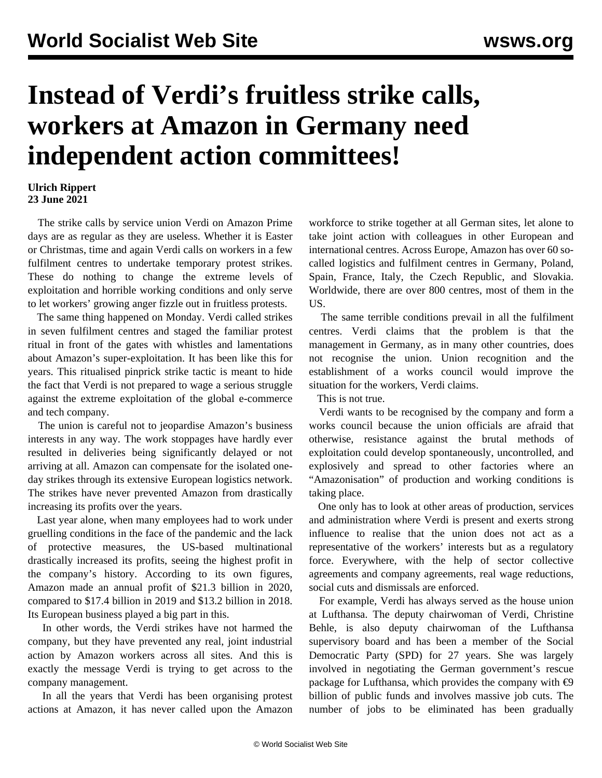## **Instead of Verdi's fruitless strike calls, workers at Amazon in Germany need independent action committees!**

## **Ulrich Rippert 23 June 2021**

 The strike calls by service union Verdi on Amazon Prime days are as regular as they are useless. Whether it is Easter or Christmas, time and again Verdi calls on workers in a few fulfilment centres to undertake temporary protest strikes. These do nothing to change the extreme levels of exploitation and horrible working conditions and only serve to let workers' growing anger fizzle out in fruitless protests.

 The same thing happened on Monday. Verdi called strikes in seven fulfilment centres and staged the familiar protest ritual in front of the gates with whistles and lamentations about Amazon's super-exploitation. It has been like this for years. This ritualised pinprick strike tactic is meant to hide the fact that Verdi is not prepared to wage a serious struggle against the extreme exploitation of the global e-commerce and tech company.

 The union is careful not to jeopardise Amazon's business interests in any way. The work stoppages have hardly ever resulted in deliveries being significantly delayed or not arriving at all. Amazon can compensate for the isolated oneday strikes through its extensive European logistics network. The strikes have never prevented Amazon from drastically increasing its profits over the years.

 Last year alone, when many employees had to work under gruelling conditions in the face of the pandemic and the lack of protective measures, the US-based multinational drastically increased its profits, seeing the highest profit in the company's history. According to its own figures, Amazon made an annual profit of \$21.3 billion in 2020, compared to \$17.4 billion in 2019 and \$13.2 billion in 2018. Its European business played a big part in this.

 In other words, the Verdi strikes have not harmed the company, but they have prevented any real, joint industrial action by Amazon workers across all sites. And this is exactly the message Verdi is trying to get across to the company management.

 In all the years that Verdi has been organising protest actions at Amazon, it has never called upon the Amazon workforce to strike together at all German sites, let alone to take joint action with colleagues in other European and international centres. Across Europe, Amazon has over 60 socalled logistics and fulfilment centres in Germany, Poland, Spain, France, Italy, the Czech Republic, and Slovakia. Worldwide, there are over 800 centres, most of them in the US.

 The same terrible conditions prevail in all the fulfilment centres. Verdi claims that the problem is that the management in Germany, as in many other countries, does not recognise the union. Union recognition and the establishment of a works council would improve the situation for the workers, Verdi claims.

This is not true.

 Verdi wants to be recognised by the company and form a works council because the union officials are afraid that otherwise, resistance against the brutal methods of exploitation could develop spontaneously, uncontrolled, and explosively and spread to other factories where an "Amazonisation" of production and working conditions is taking place.

 One only has to look at other areas of production, services and administration where Verdi is present and exerts strong influence to realise that the union does not act as a representative of the workers' interests but as a regulatory force. Everywhere, with the help of sector collective agreements and company agreements, real wage reductions, social cuts and dismissals are enforced.

 For example, Verdi has always served as the house union at Lufthansa. The deputy chairwoman of Verdi, Christine Behle, is also deputy chairwoman of the Lufthansa supervisory board and has been a member of the Social Democratic Party (SPD) for 27 years. She was largely involved in negotiating the German government's rescue package for Lufthansa, which provides the company with  $\epsilon$ 9 billion of public funds and involves massive job cuts. The number of jobs to be eliminated has been gradually